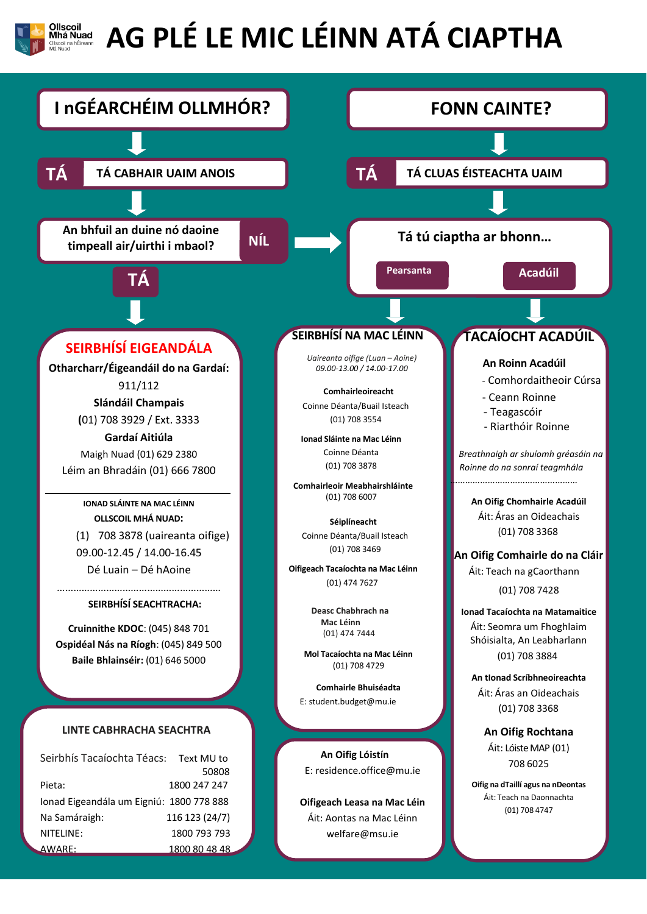

## **AG PLÉ LE MIC LÉINN ATÁ CIAPTHA**